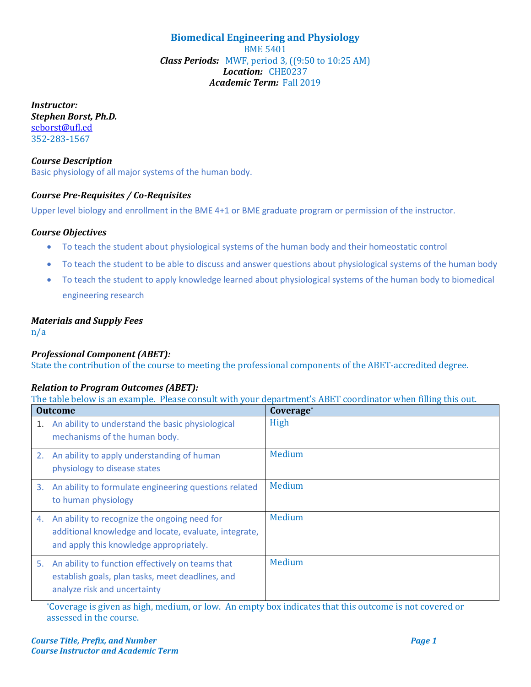**Biomedical Engineering and Physiology** BME 5401 *Class Periods:* MWF, period 3, ((9:50 to 10:25 AM) *Location:* CHE0237 *Academic Term:* Fall 2019

*Instructor: Stephen Borst, Ph.D.* [seborst@ufl.ed](mailto:seborst@ufl.ed) 352-283-1567

*Course Description* Basic physiology of all major systems of the human body.

# *Course Pre-Requisites / Co-Requisites*

Upper level biology and enrollment in the BME 4+1 or BME graduate program or permission of the instructor.

## *Course Objectives*

- To teach the student about physiological systems of the human body and their homeostatic control
- To teach the student to be able to discuss and answer questions about physiological systems of the human body
- To teach the student to apply knowledge learned about physiological systems of the human body to biomedical engineering research

## *Materials and Supply Fees*

n/a

## *Professional Component (ABET):*

State the contribution of the course to meeting the professional components of the ABET-accredited degree.

#### *Relation to Program Outcomes (ABET):*

The table below is an example. Please consult with your department's ABET coordinator when filling this out.

| <b>Outcome</b> |                                                                                                                                                  | Coverage* |
|----------------|--------------------------------------------------------------------------------------------------------------------------------------------------|-----------|
| 1.             | An ability to understand the basic physiological<br>mechanisms of the human body.                                                                | High      |
| 2.             | An ability to apply understanding of human<br>physiology to disease states                                                                       | Medium    |
| 3.             | An ability to formulate engineering questions related<br>to human physiology                                                                     | Medium    |
| 4.             | An ability to recognize the ongoing need for<br>additional knowledge and locate, evaluate, integrate,<br>and apply this knowledge appropriately. | Medium    |
| 5.             | An ability to function effectively on teams that<br>establish goals, plan tasks, meet deadlines, and<br>analyze risk and uncertainty             | Medium    |

\*Coverage is given as high, medium, or low. An empty box indicates that this outcome is not covered or assessed in the course.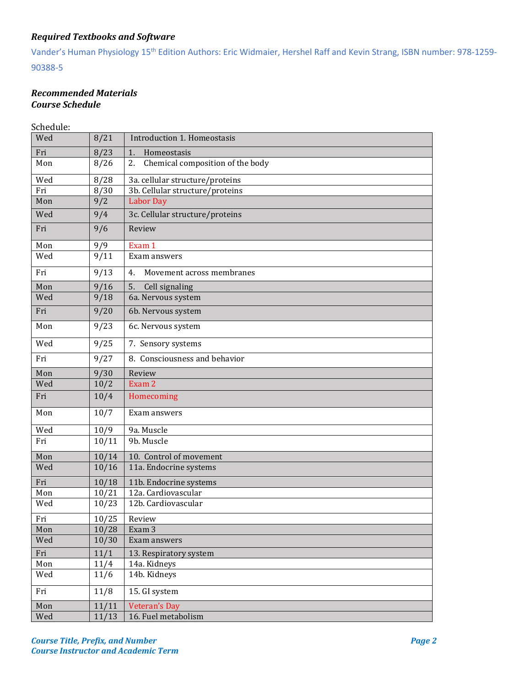# *Required Textbooks and Software*

Vander's Human Physiology 15th Edition Authors: Eric Widmaier, Hershel Raff and Kevin Strang, ISBN number: 978-1259- 90388-5

## *Recommended Materials Course Schedule*

Schedule:

| ocneuure. |       |                                        |  |
|-----------|-------|----------------------------------------|--|
| Wed       | 8/21  | Introduction 1. Homeostasis            |  |
| Fri       | 8/23  | 1.<br>Homeostasis                      |  |
| Mon       | 8/26  | Chemical composition of the body<br>2. |  |
| Wed       | 8/28  | 3a. cellular structure/proteins        |  |
| Fri       | 8/30  | 3b. Cellular structure/proteins        |  |
| Mon       | 9/2   | <b>Labor Day</b>                       |  |
| Wed       | 9/4   | 3c. Cellular structure/proteins        |  |
| Fri       | 9/6   | Review                                 |  |
| Mon       | 9/9   | Exam 1                                 |  |
| Wed       | 9/11  | Exam answers                           |  |
| Fri       | 9/13  | Movement across membranes<br>4.        |  |
| Mon       | 9/16  | 5.<br>Cell signaling                   |  |
| Wed       | 9/18  | 6a. Nervous system                     |  |
| Fri       | 9/20  | 6b. Nervous system                     |  |
| Mon       | 9/23  | 6c. Nervous system                     |  |
| Wed       | 9/25  | 7. Sensory systems                     |  |
| Fri       | 9/27  | 8. Consciousness and behavior          |  |
| Mon       | 9/30  | Review                                 |  |
| Wed       | 10/2  | Exam 2                                 |  |
| Fri       | 10/4  | Homecoming                             |  |
| Mon       | 10/7  | Exam answers                           |  |
| Wed       | 10/9  | 9a. Muscle                             |  |
| Fri       | 10/11 | 9b. Muscle                             |  |
| Mon       | 10/14 | 10. Control of movement                |  |
| Wed       | 10/16 | 11a. Endocrine systems                 |  |
| Fri       | 10/18 | 11b. Endocrine systems                 |  |
| Mon       | 10/21 | 12a. Cardiovascular                    |  |
| Wed       | 10/23 | 12b. Cardiovascular                    |  |
| Fri       | 10/25 | Review                                 |  |
| Mon       | 10/28 | Exam 3                                 |  |
| Wed       | 10/30 | Exam answers                           |  |
| Fri       | 11/1  | 13. Respiratory system                 |  |
| Mon       | 11/4  | 14a. Kidneys                           |  |
| Wed       | 11/6  | 14b. Kidneys                           |  |
| Fri       | 11/8  | 15. GI system                          |  |
| Mon       | 11/11 | <b>Veteran's Day</b>                   |  |
| Wed       | 11/13 | 16. Fuel metabolism                    |  |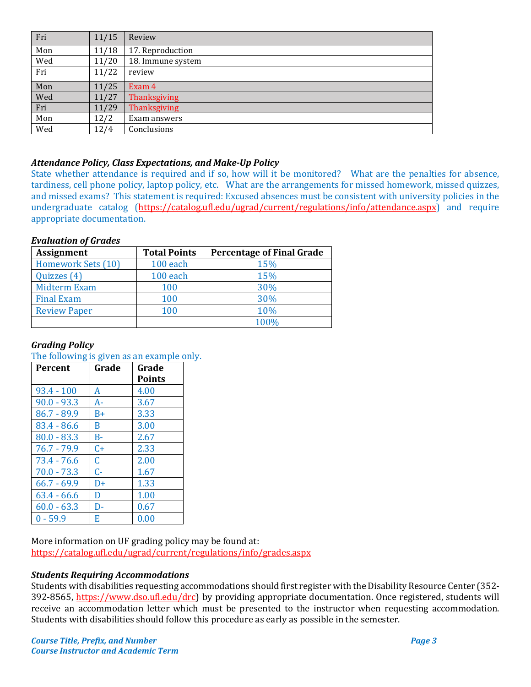| Fri | 11/15 | Review            |
|-----|-------|-------------------|
| Mon | 11/18 | 17. Reproduction  |
| Wed | 11/20 | 18. Immune system |
| Fri | 11/22 | review            |
| Mon | 11/25 | Exam 4            |
| Wed | 11/27 | Thanksgiving      |
| Fri | 11/29 | Thanksgiving      |
| Mon | 12/2  | Exam answers      |
| Wed | 12/4  | Conclusions       |

## *Attendance Policy, Class Expectations, and Make-Up Policy*

State whether attendance is required and if so, how will it be monitored? What are the penalties for absence, tardiness, cell phone policy, laptop policy, etc. What are the arrangements for missed homework, missed quizzes, and missed exams? This statement is required: Excused absences must be consistent with university policies in the undergraduate catalog [\(https://catalog.ufl.edu/ugrad/current/regulations/info/attendance.aspx\)](https://catalog.ufl.edu/ugrad/current/regulations/info/attendance.aspx) and require appropriate documentation.

## *Evaluation of Grades*

| <b>Assignment</b>   | <b>Total Points</b> | <b>Percentage of Final Grade</b> |
|---------------------|---------------------|----------------------------------|
| Homework Sets (10)  | 100 each            | 15%                              |
| Quizzes (4)         | 100 each            | 15%                              |
| <b>Midterm Exam</b> | 100                 | 30%                              |
| <b>Final Exam</b>   | 100                 | 30%                              |
| <b>Review Paper</b> | 100                 | 10%                              |
|                     |                     | 100%                             |

## *Grading Policy*

#### The following is given as an example only.

| <b>Percent</b> | Grade     | Grade         |
|----------------|-----------|---------------|
|                |           | <b>Points</b> |
| $93.4 - 100$   | A         | 4.00          |
| $90.0 - 93.3$  | A-        | 3.67          |
| $86.7 - 89.9$  | $B+$      | 3.33          |
| 83.4 - 86.6    | B         | 3.00          |
| $80.0 - 83.3$  | B-        | 2.67          |
| $76.7 - 79.9$  | $C_{\pm}$ | 2.33          |
| 73.4 - 76.6    | C         | 2.00          |
| $70.0 - 73.3$  | $C-$      | 1.67          |
| $66.7 - 69.9$  | $D+$      | 1.33          |
| $63.4 - 66.6$  | D         | 1.00          |
| $60.0 - 63.3$  | D-        | 0.67          |
| $0 - 59.9$     | Е         | 0.00          |

More information on UF grading policy may be found at: <https://catalog.ufl.edu/ugrad/current/regulations/info/grades.aspx>

#### *Students Requiring Accommodations*

Students with disabilities requesting accommodations should first register with the Disability Resource Center (352- 392-8565, https://www.dso.ufl.edu/drc) by providing appropriate documentation. Once registered, students will receive an accommodation letter which must be presented to the instructor when requesting accommodation. Students with disabilities should follow this procedure as early as possible in the semester.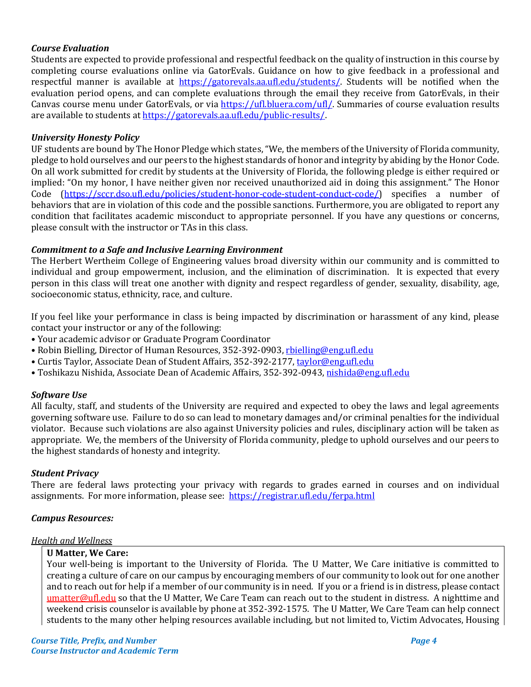## *Course Evaluation*

Students are expected to provide professional and respectful feedback on the quality of instruction in this course by completing course evaluations online via GatorEvals. Guidance on how to give feedback in a professional and respectful manner is available at [https://gatorevals.aa.ufl.edu/students/.](https://gatorevals.aa.ufl.edu/students/) Students will be notified when the evaluation period opens, and can complete evaluations through the email they receive from GatorEvals, in their Canvas course menu under GatorEvals, or via [https://ufl.bluera.com/ufl/.](https://ufl.bluera.com/ufl/) Summaries of course evaluation results are available to students a[t https://gatorevals.aa.ufl.edu/public-results/.](https://gatorevals.aa.ufl.edu/public-results/)

## *University Honesty Policy*

UF students are bound by The Honor Pledge which states, "We, the members of the University of Florida community, pledge to hold ourselves and our peers to the highest standards of honor and integrity by abiding by the Honor Code. On all work submitted for credit by students at the University of Florida, the following pledge is either required or implied: "On my honor, I have neither given nor received unauthorized aid in doing this assignment." The Honor Code [\(https://sccr.dso.ufl.edu/policies/student-honor-code-student-conduct-code/\)](https://sccr.dso.ufl.edu/policies/student-honor-code-student-conduct-code/) specifies a number of behaviors that are in violation of this code and the possible sanctions. Furthermore, you are obligated to report any condition that facilitates academic misconduct to appropriate personnel. If you have any questions or concerns, please consult with the instructor or TAs in this class.

## *Commitment to a Safe and Inclusive Learning Environment*

The Herbert Wertheim College of Engineering values broad diversity within our community and is committed to individual and group empowerment, inclusion, and the elimination of discrimination. It is expected that every person in this class will treat one another with dignity and respect regardless of gender, sexuality, disability, age, socioeconomic status, ethnicity, race, and culture.

If you feel like your performance in class is being impacted by discrimination or harassment of any kind, please contact your instructor or any of the following:

- Your academic advisor or Graduate Program Coordinator
- Robin Bielling, Director of Human Resources, 352-392-0903, [rbielling@eng.ufl.edu](mailto:rbielling@eng.ufl.edu)
- Curtis Taylor, Associate Dean of Student Affairs, 352-392-2177[, taylor@eng.ufl.edu](mailto:taylor@eng.ufl.edu)
- Toshikazu Nishida, Associate Dean of Academic Affairs, 352-392-0943[, nishida@eng.ufl.edu](mailto:nishida@eng.ufl.edu)

#### *Software Use*

All faculty, staff, and students of the University are required and expected to obey the laws and legal agreements governing software use. Failure to do so can lead to monetary damages and/or criminal penalties for the individual violator. Because such violations are also against University policies and rules, disciplinary action will be taken as appropriate. We, the members of the University of Florida community, pledge to uphold ourselves and our peers to the highest standards of honesty and integrity.

#### *Student Privacy*

There are federal laws protecting your privacy with regards to grades earned in courses and on individual assignments. For more information, please see: <https://registrar.ufl.edu/ferpa.html>

#### *Campus Resources:*

#### *Health and Wellness*

#### **U Matter, We Care:**

Your well-being is important to the University of Florida. The U Matter, We Care initiative is committed to creating a culture of care on our campus by encouraging members of our community to look out for one another and to reach out for help if a member of our community is in need. If you or a friend is in distress, please contact [umatter@ufl.edu](mailto:umatter@ufl.edu) so that the U Matter, We Care Team can reach out to the student in distress. A nighttime and weekend crisis counselor is available by phone at 352-392-1575. The U Matter, We Care Team can help connect students to the many other helping resources available including, but not limited to, Victim Advocates, Housing